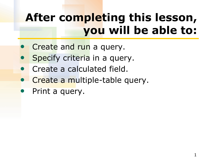### **After completing this lesson, you will be able to:**

- **Create and run a query.**
- Specify criteria in a query.
- Create a calculated field.
- Create a multiple-table query.
- Print a query.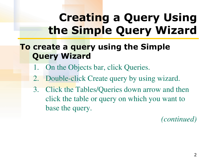### **Creating a Query Using the Simple Query Wizard**

### **To create a query using the Simple Query Wizard**

- 1. On the Objects bar, click Queries.
- 2. Double-click Create query by using wizard.
- 3. Click the Tables/Queries down arrow and then click the table or query on which you want to base the query.

*(continued)*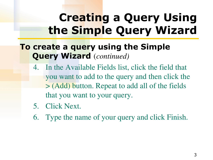### **Creating a Query Using the Simple Query Wizard**

### **To create a query using the Simple Query Wizard** (*continued)*

- 4. In the Available Fields list, click the field that you want to add to the query and then click the > (Add) button. Repeat to add all of the fields that you want to your query.
- 5. Click Next.
- 6. Type the name of your query and click Finish.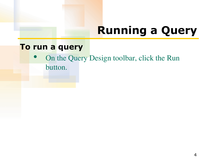# **Running a Query**

#### **To run a query**

• On the Query Design toolbar, click the Run button.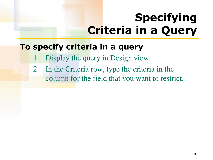## **Specifying Criteria in a Query**

### **To specify criteria in a query**

- Display the query in Design view.
- 2. In the Criteria row, type the criteria in the column for the field that you want to restrict.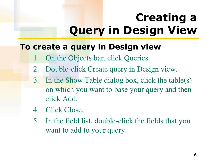# **Creating a Query in Design View**

#### **To create a query in Design view**

- On the Objects bar, click Queries.
- 2. Double-click Create query in Design view.
- 3. In the Show Table dialog box, click the table(s) on which you want to base your query and then click Add.
- 4. Click Close.
- 5. In the field list, double-click the fields that you want to add to your query.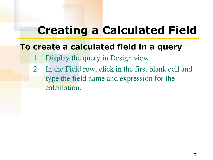### **Creating a Calculated Field**

#### **To create a calculated field in a query**

- Display the query in Design view.
- 2. In the Field row, click in the first blank cell and type the field name and expression for the calculation.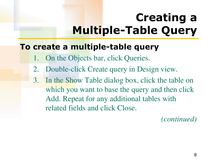# **Creating a Multiple-Table Query**

#### **To create a multiple-table query**

- On the Objects bar, click Queries.
- 2. Double-click Create query in Design view.
- 3. In the Show Table dialog box, click the table on which you want to base the query and then click Add. Repeat for any additional tables with related fields and click Close.

*(continued)*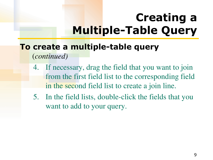## **Creating a Multiple-Table Query**

#### **To create a multiple-table query**  (*continued)*

- 4. If necessary, drag the field that you want to join from the first field list to the corresponding field in the second field list to create a join line.
- 5. In the field lists, double-click the fields that you want to add to your query.